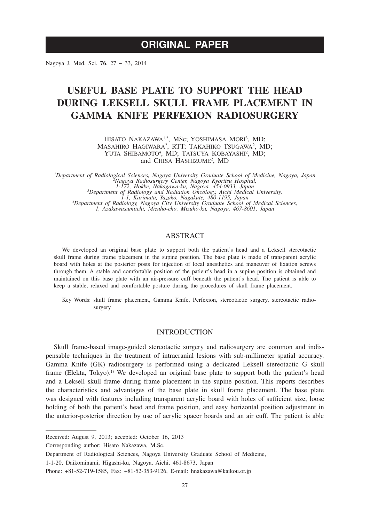# **ORIGINAL PAPER**

Nagoya J. Med. Sci. **76**. 27 ~ 33, 2014

# **USEFUL BASE PLATE TO SUPPORT THE HEAD DURING LEKSELL SKULL FRAME PLACEMENT IN GAMMA KNIFE PERFEXION RADIOSURGERY**

HISATO NAKAZAWA<sup>1,2</sup>, MSc; YOSHIMASA MORI<sup>3</sup>, MD; MASAHIRO HAGIWARA<sup>2</sup>, RTT; TAKAHIKO TSUGAWA<sup>2</sup>, MD; YUTA SHIBAMOTO<sup>4</sup>, MD; TATSUYA KOBAYASHI<sup>2</sup>, MD; and CHISA HASHIZUME<sup>2</sup>, MD

*1 Department of Radiological Sciences, Nagoya University Graduate School of Medicine, Nagoya, Japan <sup>2</sup> Nagoya Radiosurgery Center, Nagoya Kyoritsu Hospital, 1-172, Hokke, Nakagawa-ku, Nagoya, 454-0933, Japan 3 Department of Radiology and Radiation Oncology, Aichi Medical University, 1-1, Karimata, Yazako, Nagakute, 480-1195, Japan <sup>4</sup> Department of Radiology, Nagoya City University Graduate School of Medical Sciences, 1, Azakawasumiichi, Mizuho-cho, Mizuho-ku, Nagoya, 467-8601, Japan*

# ABSTRACT

We developed an original base plate to support both the patient's head and a Leksell stereotactic skull frame during frame placement in the supine position. The base plate is made of transparent acrylic board with holes at the posterior posts for injection of local anesthetics and maneuver of fixation screws through them. A stable and comfortable position of the patient's head in a supine position is obtained and maintained on this base plate with an air-pressure cuff beneath the patient's head. The patient is able to keep a stable, relaxed and comfortable posture during the procedures of skull frame placement.

Key Words: skull frame placement, Gamma Knife, Perfexion, stereotactic surgery, stereotactic radiosurgery

#### INTRODUCTION

Skull frame-based image-guided stereotactic surgery and radiosurgery are common and indispensable techniques in the treatment of intracranial lesions with sub-millimeter spatial accuracy. Gamma Knife (GK) radiosurgery is performed using a dedicated Leksell stereotactic G skull frame (Elekta, Tokyo).<sup>1)</sup> We developed an original base plate to support both the patient's head and a Leksell skull frame during frame placement in the supine position. This reports describes the characteristics and advantages of the base plate in skull frame placement. The base plate was designed with features including transparent acrylic board with holes of sufficient size, loose holding of both the patient's head and frame position, and easy horizontal position adjustment in the anterior-posterior direction by use of acrylic spacer boards and an air cuff. The patient is able

Corresponding author: Hisato Nakazawa, M.Sc.

Received: August 9, 2013; accepted: October 16, 2013

Department of Radiological Sciences, Nagoya University Graduate School of Medicine,

<sup>1-1-20,</sup> Daikominami, Higashi-ku, Nagoya, Aichi, 461-8673, Japan

Phone: +81-52-719-1585, Fax: +81-52-353-9126, E-mail: hnakazawa@kaikou.or.jp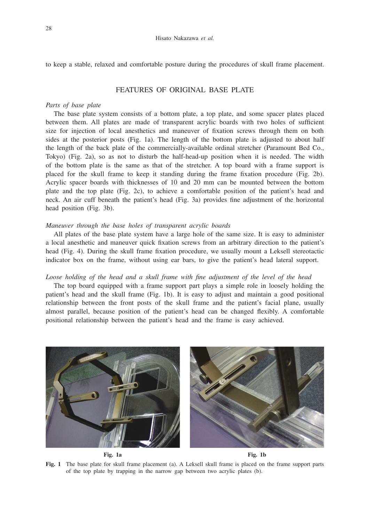to keep a stable, relaxed and comfortable posture during the procedures of skull frame placement.

# FEATURES OF ORIGINAL BASE PLATE

#### *Parts of base plate*

The base plate system consists of a bottom plate, a top plate, and some spacer plates placed between them. All plates are made of transparent acrylic boards with two holes of sufficient size for injection of local anesthetics and maneuver of fixation screws through them on both sides at the posterior posts (Fig. 1a). The length of the bottom plate is adjusted to about half the length of the back plate of the commercially-available ordinal stretcher (Paramount Bed Co., Tokyo) (Fig. 2a), so as not to disturb the half-head-up position when it is needed. The width of the bottom plate is the same as that of the stretcher. A top board with a frame support is placed for the skull frame to keep it standing during the frame fixation procedure (Fig. 2b). Acrylic spacer boards with thicknesses of 10 and 20 mm can be mounted between the bottom plate and the top plate (Fig. 2c), to achieve a comfortable position of the patient's head and neck. An air cuff beneath the patient's head (Fig. 3a) provides fine adjustment of the horizontal head position (Fig. 3b).

### *Maneuver through the base holes of transparent acrylic boards*

All plates of the base plate system have a large hole of the same size. It is easy to administer a local anesthetic and maneuver quick fixation screws from an arbitrary direction to the patient's head (Fig. 4). During the skull frame fixation procedure, we usually mount a Leksell stereotactic indicator box on the frame, without using ear bars, to give the patient's head lateral support.

#### *Loose holding of the head and a skull frame with fine adjustment of the level of the head*

The top board equipped with a frame support part plays a simple role in loosely holding the patient's head and the skull frame (Fig. 1b). It is easy to adjust and maintain a good positional relationship between the front posts of the skull frame and the patient's facial plane, usually almost parallel, because position of the patient's head can be changed flexibly. A comfortable positional relationship between the patient's head and the frame is easy achieved.



**Fig. 1** The base plate for skull frame placement (a). A Leksell skull frame is placed on the frame support parts of the top plate by trapping in the narrow gap between two acrylic plates (b).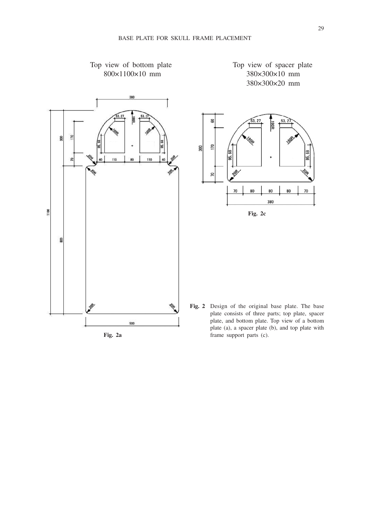



 $\overline{10}$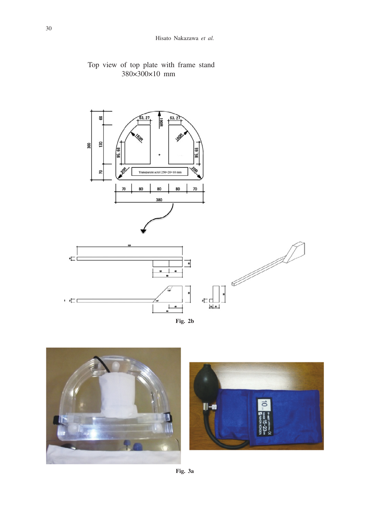



**Fig. 2b**



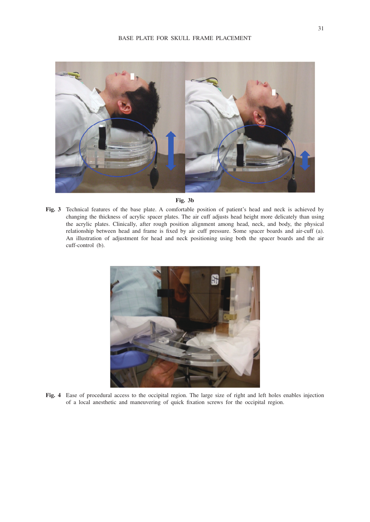

#### **Fig. 3b**

**Fig. 3** Technical features of the base plate. A comfortable position of patient's head and neck is achieved by changing the thickness of acrylic spacer plates. The air cuff adjusts head height more delicately than using the acrylic plates. Clinically, after rough position alignment among head, neck, and body, the physical relationship between head and frame is fixed by air cuff pressure. Some spacer boards and air-cuff (a). An illustration of adjustment for head and neck positioning using both the spacer boards and the air cuff-control (b).



**Fig. 4** Ease of procedural access to the occipital region. The large size of right and left holes enables injection of a local anesthetic and maneuvering of quick fixation screws for the occipital region.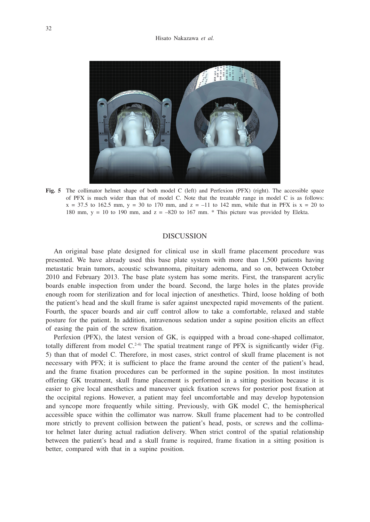

**Fig. 5** The collimator helmet shape of both model C (left) and Perfexion (PFX) (right). The accessible space of PFX is much wider than that of model C. Note that the treatable range in model C is as follows:  $x = 37.5$  to 162.5 mm,  $y = 30$  to 170 mm, and  $z = -11$  to 142 mm, while that in PFX is  $x = 20$  to 180 mm,  $y = 10$  to 190 mm, and  $z = -820$  to 167 mm.  $*$  This picture was provided by Elekta.

## DISCUSSION

An original base plate designed for clinical use in skull frame placement procedure was presented. We have already used this base plate system with more than 1,500 patients having metastatic brain tumors, acoustic schwannoma, pituitary adenoma, and so on, between October 2010 and February 2013. The base plate system has some merits. First, the transparent acrylic boards enable inspection from under the board. Second, the large holes in the plates provide enough room for sterilization and for local injection of anesthetics. Third, loose holding of both the patient's head and the skull frame is safer against unexpected rapid movements of the patient. Fourth, the spacer boards and air cuff control allow to take a comfortable, relaxed and stable posture for the patient. In addition, intravenous sedation under a supine position elicits an effect of easing the pain of the screw fixation.

Perfexion (PFX), the latest version of GK, is equipped with a broad cone-shaped collimator, totally different from model  $C^{24}$ ) The spatial treatment range of PFX is significantly wider (Fig. 5) than that of model C. Therefore, in most cases, strict control of skull frame placement is not necessary with PFX; it is sufficient to place the frame around the center of the patient's head, and the frame fixation procedures can be performed in the supine position. In most institutes offering GK treatment, skull frame placement is performed in a sitting position because it is easier to give local anesthetics and maneuver quick fixation screws for posterior post fixation at the occipital regions. However, a patient may feel uncomfortable and may develop hypotension and syncope more frequently while sitting. Previously, with GK model C, the hemispherical accessible space within the collimator was narrow. Skull frame placement had to be controlled more strictly to prevent collision between the patient's head, posts, or screws and the collimator helmet later during actual radiation delivery. When strict control of the spatial relationship between the patient's head and a skull frame is required, frame fixation in a sitting position is better, compared with that in a supine position.